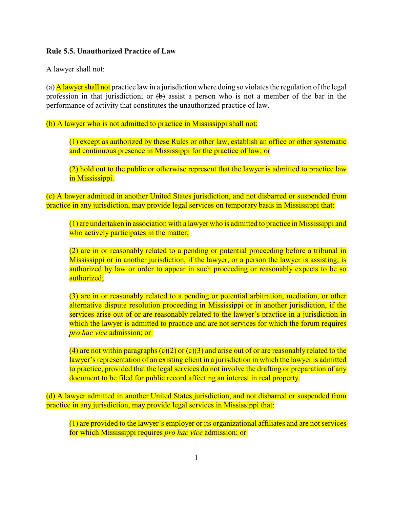## **Rule 5.5. Unauthorized Practice of Law**

## A lawyer shall not:

(a)  $\overline{A}$  lawyer shall not practice law in a jurisdiction where doing so violates the regulation of the legal profession in that jurisdiction; or  $\left(\mathbf{b}\right)$  assist a person who is not a member of the bar in the performance of activity that constitutes the unauthorized practice of law.

(b) A lawyer who is not admitted to practice in Mississippi shall not:

(1) except as authorized by these Rules or other law, establish an office or other systematic and continuous presence in Mississippi for the practice of law; or

(2) hold out to the public or otherwise represent that the lawyer is admitted to practice law in Mississippi.

(c) A lawyer admitted in another United States jurisdiction, and not disbarred or suspended from practice in any jurisdiction, may provide legal services on temporary basis in Mississippi that:

(1) are undertaken in association with a lawyer who is admitted to practice in Mississippi and who actively participates in the matter;

(2) are in or reasonably related to a pending or potential proceeding before a tribunal in Mississippi or in another jurisdiction, if the lawyer, or a person the lawyer is assisting, is authorized by law or order to appear in such proceeding or reasonably expects to be so authorized;

(3) are in or reasonably related to a pending or potential arbitration, mediation, or other alternative dispute resolution proceeding in Mississippi or in another jurisdiction, if the services arise out of or are reasonably related to the lawyer's practice in a jurisdiction in which the lawyer is admitted to practice and are not services for which the forum requires *pro hac vice* admission; or

(4) are not within paragraphs  $(c)(2)$  or  $(c)(3)$  and arise out of or are reasonably related to the lawyer's representation of an existing client in a jurisdiction in which the lawyer is admitted to practice, provided that the legal services do not involve the drafting or preparation of any document to be filed for public record affecting an interest in real property.

(d) A lawyer admitted in another United States jurisdiction, and not disbarred or suspended from practice in any jurisdiction, may provide legal services in Mississippi that:

(1) are provided to the lawyer's employer or its organizational affiliates and are not services for which Mississippi requires *pro hac vice* admission; or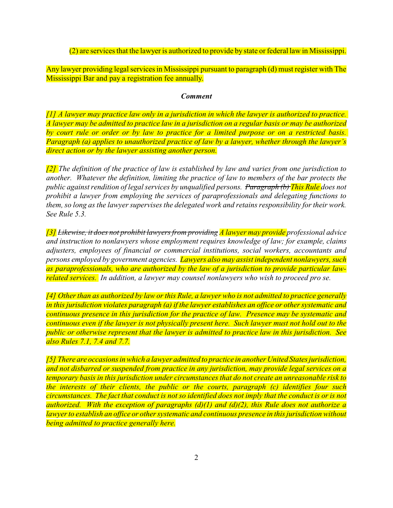(2) are services that the lawyer is authorized to provide by state or federal law in Mississippi.

Any lawyer providing legal services in Mississippi pursuant to paragraph (d) must register with The Mississippi Bar and pay a registration fee annually.

## *Comment*

*[1] A lawyer may practice law only in a jurisdiction in which the lawyer is authorized to practice. A lawyer may be admitted to practice law in a jurisdiction on a regular basis or may be authorized by court rule or order or by law to practice for a limited purpose or on a restricted basis. Paragraph (a) applies to unauthorized practice of law by a lawyer, whether through the lawyer's direct action or by the lawyer assisting another person.*

*[2] The definition of the practice of law is established by law and varies from one jurisdiction to another. Whatever the definition, limiting the practice of law to members of the bar protects the public against rendition of legal services by unqualified persons. Paragraph (b) This Rule does not prohibit a lawyer from employing the services of paraprofessionals and delegating functions to them, so long as the lawyer supervises the delegated work and retains responsibility for their work. See Rule 5.3.* 

*[3] Likewise, it does not prohibit lawyers from providing A lawyer may provide professional advice and instruction to nonlawyers whose employment requires knowledge of law; for example, claims adjusters, employees of financial or commercial institutions, social workers, accountants and persons employed by government agencies. Lawyers also may assist independent nonlawyers, such as paraprofessionals, who are authorized by the law of a jurisdiction to provide particular lawrelated services. In addition, a lawyer may counsel nonlawyers who wish to proceed pro se.*

*[4] Other than as authorized by law or this Rule, a lawyer who is not admitted to practice generally in this jurisdiction violates paragraph (a) if the lawyer establishes an office or other systematic and continuous presence in this jurisdiction for the practice of law. Presence may be systematic and continuous even if the lawyer is not physically present here. Such lawyer must not hold out to the public or otherwise represent that the lawyer is admitted to practice law in this jurisdiction. See also Rules 7.1, 7.4 and 7.7.*

*[5] There are occasions in which a lawyer admitted to practice in another United States jurisdiction, and not disbarred or suspended from practice in any jurisdiction, may provide legal services on a temporary basis in this jurisdiction under circumstances that do not create an unreasonable risk to the interests of their clients, the public or the courts, paragraph (c) identifies four such circumstances. The fact that conduct is not so identified does not imply that the conduct is or is not authorized. With the exception of paragraphs (d)(1) and (d)(2), this Rule does not authorize a lawyer to establish an office or other systematic and continuous presence in this jurisdiction without being admitted to practice generally here.*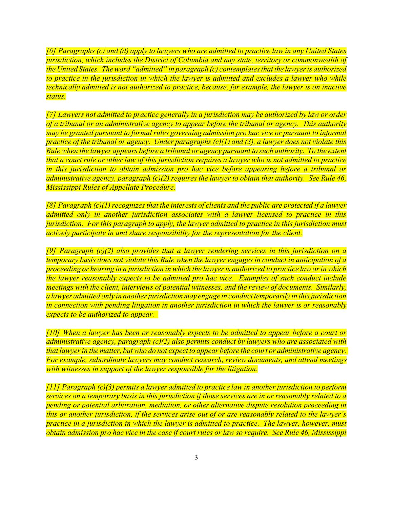*[6] Paragraphs (c) and (d) apply to lawyers who are admitted to practice law in any United States jurisdiction, which includes the District of Columbia and any state, territory or commonwealth of the United States. The word "admitted" in paragraph (c) contemplates that the lawyer is authorized to practice in the jurisdiction in which the lawyer is admitted and excludes a lawyer who while technically admitted is not authorized to practice, because, for example, the lawyer is on inactive status.*

*[7] Lawyers not admitted to practice generally in a jurisdiction may be authorized by law or order of a tribunal or an administrative agency to appear before the tribunal or agency. This authority may be granted pursuant to formal rules governing admission pro hac vice or pursuant to informal practice of the tribunal or agency. Under paragraphs (c)(1) and (3), a lawyer does not violate this Rule when the lawyer appears before a tribunal or agency pursuant to such authority. To the extent that a court rule or other law of this jurisdiction requires a lawyer who is not admitted to practice in this jurisdiction to obtain admission pro hac vice before appearing before a tribunal or administrative agency, paragraph (c)(2) requires the lawyer to obtain that authority. See Rule 46, Mississippi Rules of Appellate Procedure.*

*[8] Paragraph (c)(1)recognizes that the interests of clients and the public are protected if a lawyer admitted only in another jurisdiction associates with a lawyer licensed to practice in this jurisdiction. For this paragraph to apply, the lawyer admitted to practice in this jurisdiction must actively participate in and share responsibility for the representation for the client.*

*[9] Paragraph (c)(2) also provides that a lawyer rendering services in this jurisdiction on a temporary basis does not violate this Rule when the lawyer engages in conduct in anticipation of a proceeding or hearing in a jurisdiction in which the lawyer is authorized to practice law or in which the lawyer reasonably expects to be admitted pro hac vice. Examples of such conduct include meetings with the client, interviews of potential witnesses, and the review of documents. Similarly, a lawyer admitted only in another jurisdictionmay engage in conduct temporarily in this jurisdiction in connection with pending litigation in another jurisdiction in which the lawyer is or reasonably expects to be authorized to appear.* 

*[10] When a lawyer has been or reasonably expects to be admitted to appear before a court or administrative agency, paragraph (c)(2) also permits conduct by lawyers who are associated with that lawyer in the matter, but who do not expect to appear before the court or administrative agency. For example, subordinate lawyers may conduct research, review documents, and attend meetings with witnesses in support of the lawyer responsible for the litigation.*

*[11] Paragraph (c)(3) permits a lawyer admitted to practice law in another jurisdiction to perform services on a temporary basis in this jurisdiction if those services are in or reasonably related to a pending or potential arbitration, mediation, or other alternative dispute resolution proceeding in this or another jurisdiction, if the services arise out of or are reasonably related to the lawyer's practice in a jurisdiction in which the lawyer is admitted to practice. The lawyer, however, must obtain admission pro hac vice in the case if court rules or law so require. See Rule 46, Mississippi*